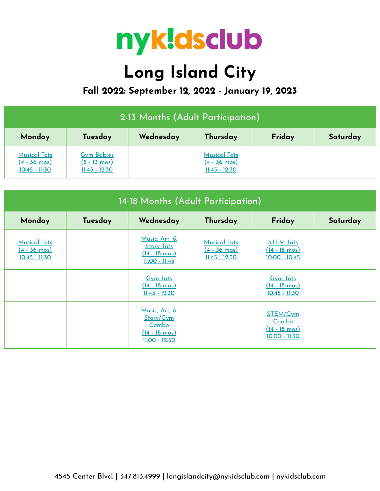

## **Long Island City**

**Fall 2022: September 12, 2022 - January 19, 2023**

| 2-13 Months (Adult Participation)                                |                                                                |           |                                                                  |        |          |  |
|------------------------------------------------------------------|----------------------------------------------------------------|-----------|------------------------------------------------------------------|--------|----------|--|
| Monday                                                           | Tuesday                                                        | Wednesday | Thursday                                                         | Friday | Saturday |  |
| <b>Musical Tots</b><br>$(4 - 36 \text{ mos})$<br>$10:45 - 11:30$ | <b>Gym Babies</b><br>$(5 - 13 \text{ mos})$<br>$11:45 - 12:30$ |           | <b>Musical Tots</b><br>$(4 - 36 \text{ mos})$<br>$11:45 - 12:30$ |        |          |  |

| 14-18 Months (Adult Participation)                            |         |                                                                                         |                                                                  |                                                                |          |  |  |
|---------------------------------------------------------------|---------|-----------------------------------------------------------------------------------------|------------------------------------------------------------------|----------------------------------------------------------------|----------|--|--|
| Monday                                                        | Tuesday | Wednesday                                                                               | Thursday                                                         | Friday                                                         | Saturday |  |  |
| <b>Musical Tots</b><br><u>(4 - 36 mos)</u><br>$10:45 - 11:30$ |         | Music, Art, &<br><b>Story Tots</b><br>$(14 - 18 \text{ mos})$<br>$11:00 - 11:45$        | <b>Musical Tots</b><br>$(4 - 36 \text{ mos})$<br>$11:45 - 12:30$ | <b>STEM Tots</b><br>$(14 - 18 \text{ mos})$<br>$10:00 - 10:45$ |          |  |  |
|                                                               |         | <b>Gym Tots</b><br>$(14 - 18 \text{ mos})$<br>$11:45 - 12:30$                           |                                                                  | <b>Gym Tots</b><br>$(14 - 18 \text{ mos})$<br>10:45 - 11:30    |          |  |  |
|                                                               |         | Music, Art, &<br>Story/Gym<br>Combo<br>$(14 - 18 \text{ mos})$<br><u> 11:00 - 12:30</u> |                                                                  | STEM/Gym<br>Combo<br>$(14 - 18 \text{ mos})$<br>10:00 - 11:30  |          |  |  |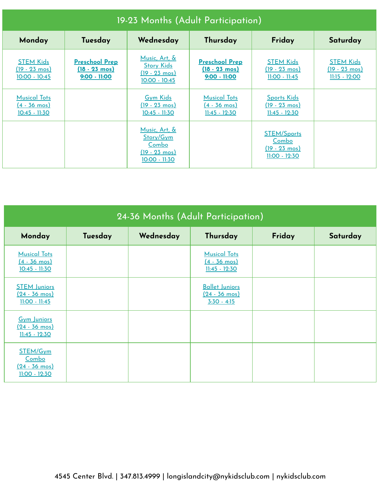| 19-23 Months (Adult Participation)                               |                                                                  |                                                                                   |                                                                    |                                                                           |                                                                      |  |
|------------------------------------------------------------------|------------------------------------------------------------------|-----------------------------------------------------------------------------------|--------------------------------------------------------------------|---------------------------------------------------------------------------|----------------------------------------------------------------------|--|
| Monday                                                           | Tuesday                                                          | Wednesday                                                                         | Thursday                                                           | Friday                                                                    | Saturday                                                             |  |
| <b>STEM Kids</b><br>$(19 - 23 \text{ mos})$<br>$10:00 - 10:45$   | <b>Preschool Prep</b><br>$(18 - 23 \text{ mos})$<br>9:00 - 11:00 | Music, Art, &<br><b>Story Kids</b><br>$(19 - 23 \text{ mos})$<br>$10:00 - 10:45$  | <b>Preschool Prep</b><br>$(18 - 23 \text{ mos})$<br>$9:00 - 11:00$ | <b>STEM Kids</b><br>$(19 - 23 \text{ mos})$<br><u> 11:00 - 11:45</u>      | <b>STEM Kids</b><br>$(19 - 23 \text{ mos})$<br><u> 11:15 - 12:00</u> |  |
| <b>Musical Tots</b><br>$(4 - 36 \text{ mos})$<br>$10:45 - 11:30$ |                                                                  | <b>Gym Kids</b><br>$(19 - 23 \text{ mos})$<br>$10:45 - 11:30$                     | <b>Musical Tots</b><br><u>(4 - 36 mos)</u><br>$11:45 - 12:30$      | <b>Sports Kids</b><br>$(19 - 23 \text{ mos})$<br>$11:45 - 12:30$          |                                                                      |  |
|                                                                  |                                                                  | Music, Art, &<br>Story/Gym<br>Combo<br>$(19 - 23 \text{ mos})$<br>$10:00 - 11:30$ |                                                                    | <b>STEM/Sports</b><br>Combo<br>$(19 - 23 \text{ mos})$<br>$11:00 - 12:30$ |                                                                      |  |

| 24-36 Months (Adult Participation)                                |         |           |                                                                   |        |          |  |
|-------------------------------------------------------------------|---------|-----------|-------------------------------------------------------------------|--------|----------|--|
| Monday                                                            | Tuesday | Wednesday | Thursday                                                          | Friday | Saturday |  |
| <b>Musical Tots</b><br>$(4 - 36 \text{ mos})$<br>$10:45 - 11:30$  |         |           | <b>Musical Tots</b><br>$(4 - 36 \text{ mos})$<br>$11:45 - 12:30$  |        |          |  |
| <b>STEM Juniors</b><br>$(24 - 36 \text{ mos})$<br>$11:00 - 11:45$ |         |           | <b>Ballet Juniors</b><br>$(24 - 36 \text{ mos})$<br>$3:30 - 4:15$ |        |          |  |
| <b>Gym Juniors</b><br>$(24 - 36 \text{ mos})$<br>$11:45 - 12:30$  |         |           |                                                                   |        |          |  |
| STEM/Gym<br>Combo<br>$(24 - 36 \text{ mos})$<br>$11:00 - 12:30$   |         |           |                                                                   |        |          |  |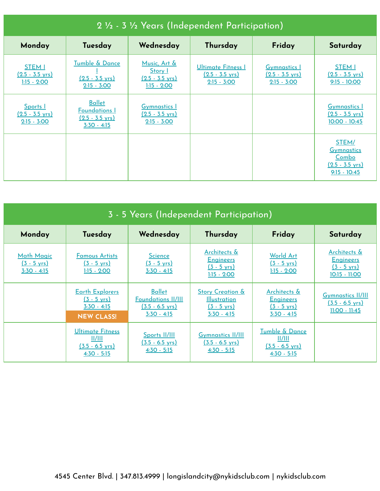| 2 1/2 - 3 1/2 Years (Independent Participation)        |                                                                                     |                                                                              |                                                                         |                                                                   |                                                                                    |  |  |
|--------------------------------------------------------|-------------------------------------------------------------------------------------|------------------------------------------------------------------------------|-------------------------------------------------------------------------|-------------------------------------------------------------------|------------------------------------------------------------------------------------|--|--|
| Monday                                                 | Tuesday                                                                             | Wednesday                                                                    | Thursday                                                                | Friday                                                            | Saturday                                                                           |  |  |
| STEM I<br>$(2.5 - 3.5 \text{ yrs})$<br>$1:15 - 2:00$   | Tumble & Dance<br>$(2.5 - 3.5 \text{ yrs})$<br>$2:15 - 3:00$                        | Music, Art &<br><b>Story</b> I<br>$(2.5 - 3.5 \text{ yrs})$<br>$1:15 - 2:00$ | <b>Ultimate Fitness I</b><br>$(2.5 - 3.5 \text{ yrs})$<br>$2:15 - 3:00$ | <b>Gymnastics</b> I<br>$(2.5 - 3.5 \text{ yrs})$<br>$2:15 - 3:00$ | <b>STEM I</b><br>$(2.5 - 3.5 \text{ yrs})$<br>$9:15 - 10:00$                       |  |  |
| Sports I<br>$(2.5 - 3.5 \text{ yrs})$<br>$2:15 - 3:00$ | <b>Ballet</b><br><b>Foundations I</b><br>$(2.5 - 3.5 \text{ yrs})$<br>$3:30 - 4:15$ | <b>Gymnastics 1</b><br>$(2.5 - 3.5 \text{ yrs})$<br>$2:15 - 3:00$            |                                                                         |                                                                   | <b>Gymnastics I</b><br>$(2.5 - 3.5 \text{ yrs})$<br>$10:00 - 10:45$                |  |  |
|                                                        |                                                                                     |                                                                              |                                                                         |                                                                   | STEM/<br><b>Gymnastics</b><br>Combo<br>$(2.5 - 3.5 \text{ vrs})$<br>$9:15 - 10:45$ |  |  |

| 3 - 5 Years (Independent Participation)                     |                                                                                       |                                                                                       |                                                                                              |                                                                            |                                                                            |  |  |
|-------------------------------------------------------------|---------------------------------------------------------------------------------------|---------------------------------------------------------------------------------------|----------------------------------------------------------------------------------------------|----------------------------------------------------------------------------|----------------------------------------------------------------------------|--|--|
| Monday                                                      | Tuesday                                                                               | Wednesday                                                                             | Thursday                                                                                     | Friday                                                                     | Saturday                                                                   |  |  |
| <b>Math Magic</b><br>$(3 - 5 \text{ yrs})$<br>$3:30 - 4:15$ | <b>Famous Artists</b><br>$(3 - 5 \text{ yrs})$<br>$1:15 - 2:00$                       | <b>Science</b><br>$(3 - 5 \text{ yrs})$<br>$3:30 - 4:15$                              | Architects &<br><b>Engineers</b><br>$(3 - 5 \text{ yrs})$<br>$1:15 - 2:00$                   | <b>World Art</b><br>$(3 - 5 \text{ yrs})$<br>$1:15 - 2:00$                 | Architects &<br><b>Engineers</b><br>$(3 - 5 \text{ yrs})$<br>10:15 - 11:00 |  |  |
|                                                             | <b>Earth Explorers</b><br>$(3 - 5 \text{ yrs})$<br>$3:30 - 4:15$<br><b>NEW CLASS!</b> | <b>Ballet</b><br><b>Foundations II/III</b><br><u>(3.5 - 6.5 yrs)</u><br>$3:30 - 4:15$ | <b>Story Creation &amp;</b><br><b>Illustration</b><br>$(3 - 5 \text{ yrs})$<br>$3:30 - 4:15$ | Architects &<br><b>Engineers</b><br>$(3 - 5 \text{ yrs})$<br>$3:30 - 4:15$ | <b>Gymnastics II/III</b><br>$(3.5 - 6.5 \text{ yrs})$<br>$11:00 - 11:45$   |  |  |
|                                                             | Ultimate Fitness<br>II/III<br>$(3.5 - 6.5 \text{ vrs})$<br>$4:30 - 5:15$              | Sports II/III<br>$(3.5 - 6.5 \text{ vrs})$<br>$4:30 - 5:15$                           | <b>Gymnastics II/III</b><br>$(3.5 - 6.5 \text{ vrs})$<br>$4:30 - 5:15$                       | Tumble & Dance<br>II/III<br>$(3.5 - 6.5 \text{ vrs})$<br>$4:30 - 5:15$     |                                                                            |  |  |